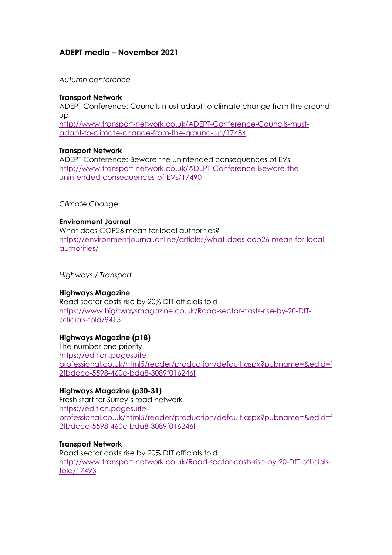# **ADEPT media – November 2021**

*Autumn conference*

#### **Transport Network**

ADEPT Conference: Councils must adapt to climate change from the ground up [http://www.transport-network.co.uk/ADEPT-Conference-Councils-must](http://www.transport-network.co.uk/ADEPT-Conference-Councils-must-adapt-to-climate-change-from-the-ground-up/17484)[adapt-to-climate-change-from-the-ground-up/17484](http://www.transport-network.co.uk/ADEPT-Conference-Councils-must-adapt-to-climate-change-from-the-ground-up/17484)

#### **Transport Network**

ADEPT Conference: Beware the unintended consequences of EVs [http://www.transport-network.co.uk/ADEPT-Conference-Beware-the](http://www.transport-network.co.uk/ADEPT-Conference-Beware-the-unintended-consequences-of-EVs/17490)[unintended-consequences-of-EVs/17490](http://www.transport-network.co.uk/ADEPT-Conference-Beware-the-unintended-consequences-of-EVs/17490)

*Climate Change*

#### **Environment Journal**

What does COP26 mean for local authorities? [https://environmentjournal.online/articles/what-does-cop26-mean-for-local](https://environmentjournal.online/articles/what-does-cop26-mean-for-local-authorities/)[authorities/](https://environmentjournal.online/articles/what-does-cop26-mean-for-local-authorities/)

*Highways / Transport*

#### **Highways Magazine**

Road sector costs rise by 20% DfT officials told [https://www.highwaysmagazine.co.uk/Road-sector-costs-rise-by-20-DfT](https://www.highwaysmagazine.co.uk/Road-sector-costs-rise-by-20-DfT-officials-told/9415)[officials-told/9415](https://www.highwaysmagazine.co.uk/Road-sector-costs-rise-by-20-DfT-officials-told/9415)

#### **Highways Magazine (p18)**

The number one priority [https://edition.pagesuite](https://edition.pagesuite-professional.co.uk/html5/reader/production/default.aspx?pubname=&edid=f2fbdccc-5598-460c-bda8-3089f016246f)[professional.co.uk/html5/reader/production/default.aspx?pubname=&edid=f](https://edition.pagesuite-professional.co.uk/html5/reader/production/default.aspx?pubname=&edid=f2fbdccc-5598-460c-bda8-3089f016246f) [2fbdccc-5598-460c-bda8-3089f016246f](https://edition.pagesuite-professional.co.uk/html5/reader/production/default.aspx?pubname=&edid=f2fbdccc-5598-460c-bda8-3089f016246f)

#### **Highways Magazine (p30-31)**

Fresh start for Surrey's road network [https://edition.pagesuite](https://edition.pagesuite-professional.co.uk/html5/reader/production/default.aspx?pubname=&edid=f2fbdccc-5598-460c-bda8-3089f016246f)[professional.co.uk/html5/reader/production/default.aspx?pubname=&edid=f](https://edition.pagesuite-professional.co.uk/html5/reader/production/default.aspx?pubname=&edid=f2fbdccc-5598-460c-bda8-3089f016246f) [2fbdccc-5598-460c-bda8-3089f016246f](https://edition.pagesuite-professional.co.uk/html5/reader/production/default.aspx?pubname=&edid=f2fbdccc-5598-460c-bda8-3089f016246f)

#### **Transport Network**

Road sector costs rise by 20% DfT officials told [http://www.transport-network.co.uk/Road-sector-costs-rise-by-20-DfT-officials](http://www.transport-network.co.uk/Road-sector-costs-rise-by-20-DfT-officials-told/17493)[told/17493](http://www.transport-network.co.uk/Road-sector-costs-rise-by-20-DfT-officials-told/17493)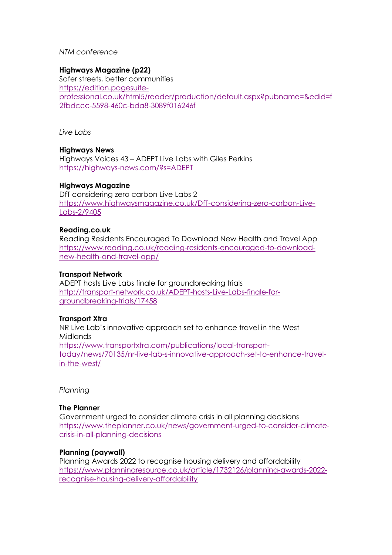#### *NTM conference*

## **Highways Magazine (p22)**

Safer streets, better communities [https://edition.pagesuite](https://edition.pagesuite-professional.co.uk/html5/reader/production/default.aspx?pubname=&edid=f2fbdccc-5598-460c-bda8-3089f016246f)[professional.co.uk/html5/reader/production/default.aspx?pubname=&edid=f](https://edition.pagesuite-professional.co.uk/html5/reader/production/default.aspx?pubname=&edid=f2fbdccc-5598-460c-bda8-3089f016246f) [2fbdccc-5598-460c-bda8-3089f016246f](https://edition.pagesuite-professional.co.uk/html5/reader/production/default.aspx?pubname=&edid=f2fbdccc-5598-460c-bda8-3089f016246f)

*Live Labs*

## **Highways News**

Highways Voices 43 – ADEPT Live Labs with Giles Perkins <https://highways-news.com/?s=ADEPT>

## **Highways Magazine**

DfT considering zero carbon Live Labs 2 [https://www.highwaysmagazine.co.uk/DfT-considering-zero-carbon-Live-](https://www.highwaysmagazine.co.uk/DfT-considering-zero-carbon-Live-Labs-2/9405)[Labs-2/9405](https://www.highwaysmagazine.co.uk/DfT-considering-zero-carbon-Live-Labs-2/9405)

#### **Reading.co.uk**

Reading Residents Encouraged To Download New Health and Travel App [https://www.reading.co.uk/reading-residents-encouraged-to-download](https://www.reading.co.uk/reading-residents-encouraged-to-download-new-health-and-travel-app/)[new-health-and-travel-app/](https://www.reading.co.uk/reading-residents-encouraged-to-download-new-health-and-travel-app/)

#### **Transport Network**

ADEPT hosts Live Labs finale for groundbreaking trials [http://transport-network.co.uk/ADEPT-hosts-Live-Labs-finale-for](http://transport-network.co.uk/ADEPT-hosts-Live-Labs-finale-for-groundbreaking-trials/17458)[groundbreaking-trials/17458](http://transport-network.co.uk/ADEPT-hosts-Live-Labs-finale-for-groundbreaking-trials/17458)

## **Transport Xtra**

NR Live Lab's innovative approach set to enhance travel in the West Midlands [https://www.transportxtra.com/publications/local-transport](https://www.transportxtra.com/publications/local-transport-today/news/70135/nr-live-lab-s-innovative-approach-set-to-enhance-travel-in-the-west/)[today/news/70135/nr-live-lab-s-innovative-approach-set-to-enhance-travel](https://www.transportxtra.com/publications/local-transport-today/news/70135/nr-live-lab-s-innovative-approach-set-to-enhance-travel-in-the-west/)[in-the-west/](https://www.transportxtra.com/publications/local-transport-today/news/70135/nr-live-lab-s-innovative-approach-set-to-enhance-travel-in-the-west/)

*Planning*

## **The Planner**

Government urged to consider climate crisis in all planning decisions [https://www.theplanner.co.uk/news/government-urged-to-consider-climate](https://www.theplanner.co.uk/news/government-urged-to-consider-climate-crisis-in-all-planning-decisions)[crisis-in-all-planning-decisions](https://www.theplanner.co.uk/news/government-urged-to-consider-climate-crisis-in-all-planning-decisions)

#### **Planning (paywall)**

Planning Awards 2022 to recognise housing delivery and affordability [https://www.planningresource.co.uk/article/1732126/planning-awards-2022](https://www.planningresource.co.uk/article/1732126/planning-awards-2022-recognise-housing-delivery-affordability) [recognise-housing-delivery-affordability](https://www.planningresource.co.uk/article/1732126/planning-awards-2022-recognise-housing-delivery-affordability)